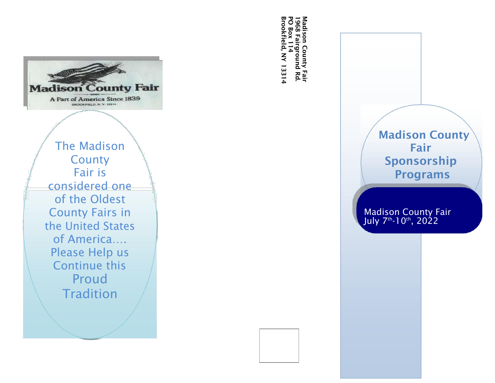

The Madison **County** Fair is considered one of the Oldest County Fairs in the United States of America…. Please Help us Continue this Proud **Tradition** 

Madison County Fair<br>1968 Fairground Rd.<br>PO Box 114<br>Brookfield, NY 13314 Brookfield, NY 13314 PO Box 114 1968 Fairground Rd. Madison County Fair



Madison County Fair July 7<sup>th</sup>-10<sup>th</sup>, 2022